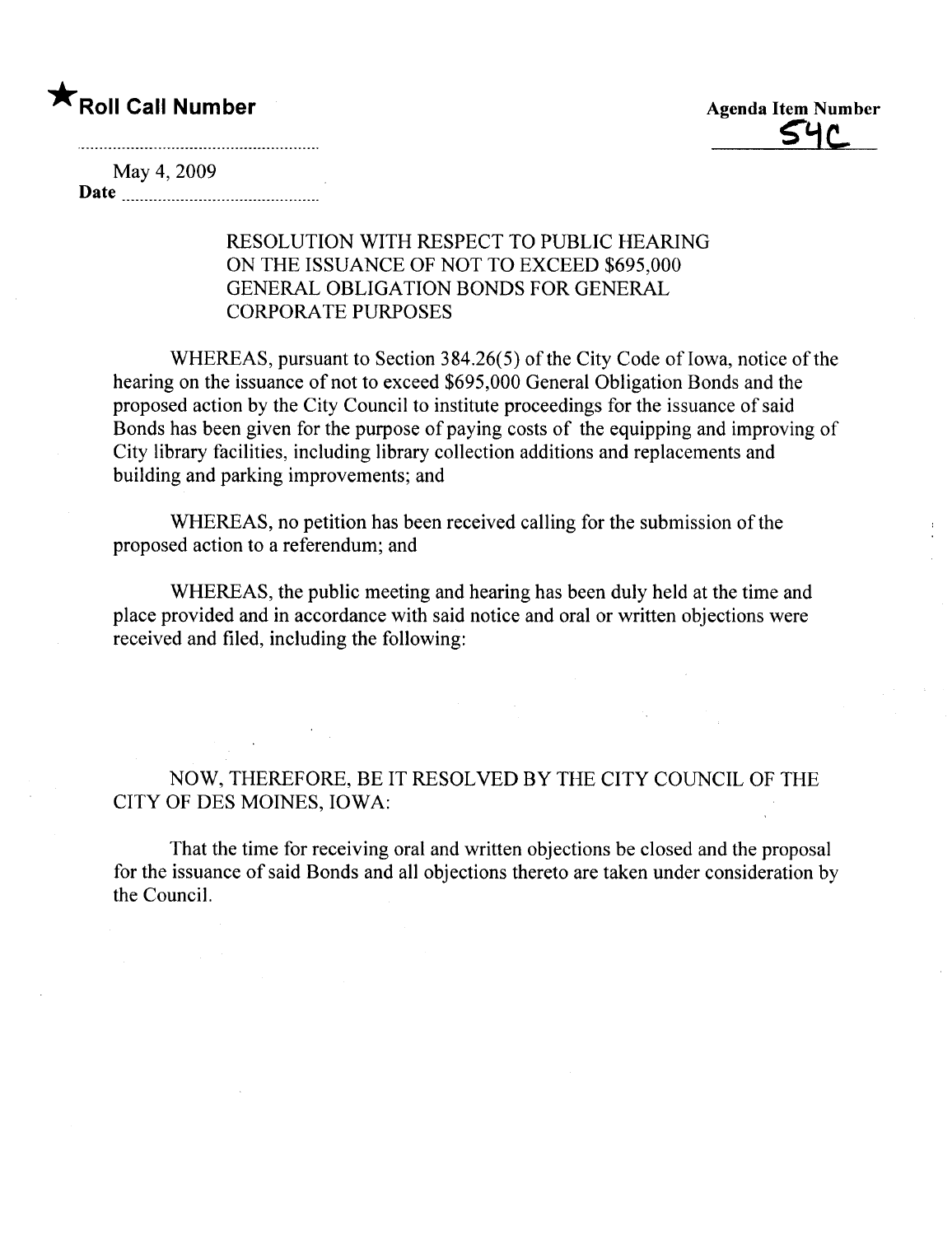## \* Roll Call Number Agenda Item Number



May 4, 2009 Date

## RESOLUTION WITH RESPECT TO PUBLIC HEARING ON THE ISSUANCE OF NOT TO EXCEED \$695,000 GENERAL OBLIGATION BONDS FOR GENERAL CORPORA TE PURPOSES

WHEREAS, pursuant to Section 384.26(5) of the City Code of Iowa, notice of the hearing on the issuance of not to exceed \$695,000 General Obligation Bonds and the proposed action by the City Council to institute proceedings for the issuance of said Bonds has been given for the purpose of paying costs of the equipping and improving of City library facilities, including library collection additions and replacements and building and parking improvements; and

WHEREAS, no petition has been received calling for the submission of the proposed action to a referendum; and

WHEREAS, the public meeting and hearing has been duly held at the time and place provided and in accordance with said notice and oral or written objections were received and fied, including the following:

NOW, THEREFORE, BE IT RESOLVED BY THE CITY COUNCIL OF THE CITY OF DES MOINES, IOWA:

That the time for receiving oral and written objections be closed and the proposal for the issuance of said Bonds and all objections thereto are taken under consideration by the CounciL.